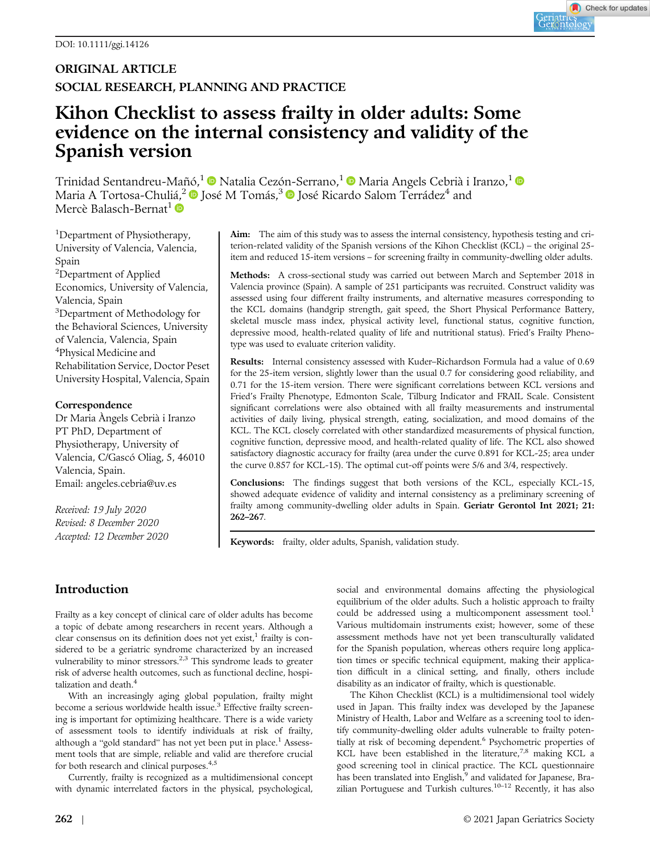# Kihon Checklist to assess frailty in older adults: Some evidence on the internal consistency and validity of the Spanish version

Trinidad Sentandreu-Mañó,<sup>1</sup> Natalia Cezón-Serrano,<sup>1</sup> Naria Angels Cebrià i Iranzo.<sup>1</sup> D Maria A Tortosa-Chuliá,<sup>2</sup> D José M Tomás,<sup>3</sup> D José Ricardo Salom Terrádez<sup>4</sup> and Mercè Balasch-Bernat<sup>1</sup>

<sup>1</sup>Department of Physiotherapy, University of Valencia, Valencia, Spain <sup>2</sup>Department of Applied Economics, University of Valencia, Valencia, Spain <sup>3</sup>Department of Methodology for the Behavioral Sciences, University of Valencia, Valencia, Spain 4 Physical Medicine and Rehabilitation Service, Doctor Peset University Hospital, Valencia, Spain

### Correspondence

Dr Maria Àngels Cebrià i Iranzo PT PhD, Department of Physiotherapy, University of Valencia, C/Gascó Oliag, 5, 46010 Valencia, Spain. Email: [angeles.cebria@uv.es](mailto:angeles.cebria@uv.es)

Received: 19 July 2020 Revised: 8 December 2020 Accepted: 12 December 2020 Aim: The aim of this study was to assess the internal consistency, hypothesis testing and criterion-related validity of the Spanish versions of the Kihon Checklist (KCL) – the original 25 item and reduced 15-item versions – for screening frailty in community-dwelling older adults.

Methods: A cross-sectional study was carried out between March and September 2018 in Valencia province (Spain). A sample of 251 participants was recruited. Construct validity was assessed using four different frailty instruments, and alternative measures corresponding to the KCL domains (handgrip strength, gait speed, the Short Physical Performance Battery, skeletal muscle mass index, physical activity level, functional status, cognitive function, depressive mood, health-related quality of life and nutritional status). Fried's Frailty Phenotype was used to evaluate criterion validity.

Results: Internal consistency assessed with Kuder–Richardson Formula had a value of 0.69 for the 25-item version, slightly lower than the usual 0.7 for considering good reliability, and 0.71 for the 15-item version. There were significant correlations between KCL versions and Fried's Frailty Phenotype, Edmonton Scale, Tilburg Indicator and FRAIL Scale. Consistent significant correlations were also obtained with all frailty measurements and instrumental activities of daily living, physical strength, eating, socialization, and mood domains of the KCL. The KCL closely correlated with other standardized measurements of physical function, cognitive function, depressive mood, and health-related quality of life. The KCL also showed satisfactory diagnostic accuracy for frailty (area under the curve 0.891 for KCL-25; area under the curve 0.857 for KCL-15). The optimal cut-off points were 5/6 and 3/4, respectively.

Conclusions: The findings suggest that both versions of the KCL, especially KCL-15, showed adequate evidence of validity and internal consistency as a preliminary screening of frailty among community-dwelling older adults in Spain. Geriatr Gerontol Int 2021; 21: 262–267.

Keywords: frailty, older adults, Spanish, validation study.

## Introduction

Frailty as a key concept of clinical care of older adults has become a topic of debate among researchers in recent years. Although a clear consensus on its definition does not yet exist, $<sup>1</sup>$  frailty is con-</sup> sidered to be a geriatric syndrome characterized by an increased vulnerability to minor stressors.<sup>2,3</sup> This syndrome leads to greater risk of adverse health outcomes, such as functional decline, hospitalization and death.<sup>4</sup>

With an increasingly aging global population, frailty might become a serious worldwide health issue.<sup>3</sup> Effective frailty screening is important for optimizing healthcare. There is a wide variety of assessment tools to identify individuals at risk of frailty, although a "gold standard" has not yet been put in place.<sup>1</sup> Assessment tools that are simple, reliable and valid are therefore crucial for both research and clinical purposes.<sup>4,5</sup>

Currently, frailty is recognized as a multidimensional concept with dynamic interrelated factors in the physical, psychological, social and environmental domains affecting the physiological equilibrium of the older adults. Such a holistic approach to frailty could be addressed using a multicomponent assessment tool.<sup>1</sup> Various multidomain instruments exist; however, some of these assessment methods have not yet been transculturally validated for the Spanish population, whereas others require long application times or specific technical equipment, making their application difficult in a clinical setting, and finally, others include disability as an indicator of frailty, which is questionable.

The Kihon Checklist (KCL) is a multidimensional tool widely used in Japan. This frailty index was developed by the Japanese Ministry of Health, Labor and Welfare as a screening tool to identify community-dwelling older adults vulnerable to frailty potentially at risk of becoming dependent.<sup>6</sup> Psychometric properties of KCL have been established in the literature, $7.8$  making KCL a good screening tool in clinical practice. The KCL questionnaire has been translated into English,<sup>9</sup> and validated for Japanese, Brazilian Portuguese and Turkish cultures.<sup>10-12</sup> Recently, it has also

Check for updates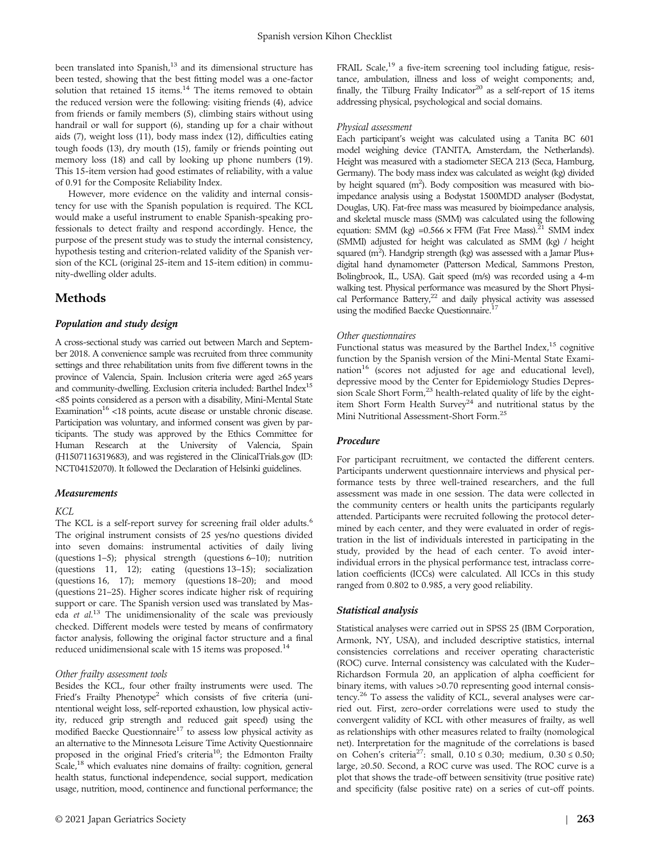been translated into Spanish,<sup>13</sup> and its dimensional structure has been tested, showing that the best fitting model was a one-factor solution that retained 15 items.<sup>14</sup> The items removed to obtain the reduced version were the following: visiting friends (4), advice from friends or family members (5), climbing stairs without using handrail or wall for support (6), standing up for a chair without aids (7), weight loss (11), body mass index (12), difficulties eating tough foods (13), dry mouth (15), family or friends pointing out memory loss (18) and call by looking up phone numbers (19). This 15-item version had good estimates of reliability, with a value of 0.91 for the Composite Reliability Index.

However, more evidence on the validity and internal consistency for use with the Spanish population is required. The KCL would make a useful instrument to enable Spanish-speaking professionals to detect frailty and respond accordingly. Hence, the purpose of the present study was to study the internal consistency, hypothesis testing and criterion-related validity of the Spanish version of the KCL (original 25-item and 15-item edition) in community-dwelling older adults.

### Methods

### Population and study design

A cross-sectional study was carried out between March and September 2018. A convenience sample was recruited from three community settings and three rehabilitation units from five different towns in the province of Valencia, Spain. Inclusion criteria were aged ≥65 years and community-dwelling. Exclusion criteria included: Barthel Index<sup>15</sup> <85 points considered as a person with a disability, Mini-Mental State Examination<sup>16</sup> <18 points, acute disease or unstable chronic disease. Participation was voluntary, and informed consent was given by participants. The study was approved by the Ethics Committee for Human Research at the University of Valencia, Spain (H1507116319683), and was registered in the [ClinicalTrials.gov](http://clinicaltrials.gov) (ID: NCT04152070). It followed the Declaration of Helsinki guidelines.

### Measurements

#### KCL

The KCL is a self-report survey for screening frail older adults.<sup>6</sup> The original instrument consists of 25 yes/no questions divided into seven domains: instrumental activities of daily living (questions 1–5); physical strength (questions 6–10); nutrition (questions 11, 12); eating (questions 13–15); socialization (questions 16, 17); memory (questions 18–20); and mood (questions 21–25). Higher scores indicate higher risk of requiring support or care. The Spanish version used was translated by Maseda et al.<sup>13</sup> The unidimensionality of the scale was previously checked. Different models were tested by means of confirmatory factor analysis, following the original factor structure and a final reduced unidimensional scale with 15 items was proposed.<sup>14</sup>

#### Other frailty assessment tools

Besides the KCL, four other frailty instruments were used. The Fried's Frailty Phenotype<sup>2</sup> which consists of five criteria (unintentional weight loss, self-reported exhaustion, low physical activity, reduced grip strength and reduced gait speed) using the modified Baecke Questionnaire<sup>17</sup> to assess low physical activity as an alternative to the Minnesota Leisure Time Activity Questionnaire proposed in the original Fried's criteria<sup>10</sup>; the Edmonton Frailty Scale,<sup>18</sup> which evaluates nine domains of frailty: cognition, general health status, functional independence, social support, medication usage, nutrition, mood, continence and functional performance; the FRAIL Scale,<sup>19</sup> a five-item screening tool including fatigue, resistance, ambulation, illness and loss of weight components; and, finally, the Tilburg Frailty Indicator<sup>20</sup> as a self-report of 15 items addressing physical, psychological and social domains.

#### Physical assessment

Each participant's weight was calculated using a Tanita BC 601 model weighing device (TANITA, Amsterdam, the Netherlands). Height was measured with a stadiometer SECA 213 (Seca, Hamburg, Germany). The body mass index was calculated as weight (kg) divided by height squared  $(m^2)$ . Body composition was measured with bioimpedance analysis using a Bodystat 1500MDD analyser (Bodystat, Douglas, UK). Fat-free mass was measured by bioimpedance analysis, and skeletal muscle mass (SMM) was calculated using the following equation: SMM (kg) =  $0.566 \times$  FFM (Fat Free Mass).<sup>21</sup> SMM index (SMMI) adjusted for height was calculated as SMM (kg) / height squared (m<sup>2</sup>). Handgrip strength (kg) was assessed with a Jamar Plus+ digital hand dynamometer (Patterson Medical, Sammons Preston, Bolingbrook, IL, USA). Gait speed (m/s) was recorded using a 4-m walking test. Physical performance was measured by the Short Physical Performance Battery,<sup>22</sup> and daily physical activity was assessed using the modified Baecke Questionnaire.17

#### Other questionnaires

Functional status was measured by the Barthel Index, $15$  cognitive function by the Spanish version of the Mini-Mental State Examination<sup>16</sup> (scores not adjusted for age and educational level), depressive mood by the Center for Epidemiology Studies Depression Scale Short Form,<sup>23</sup> health-related quality of life by the eightitem Short Form Health Survey<sup>24</sup> and nutritional status by the Mini Nutritional Assessment-Short Form.25

### Procedure

For participant recruitment, we contacted the different centers. Participants underwent questionnaire interviews and physical performance tests by three well-trained researchers, and the full assessment was made in one session. The data were collected in the community centers or health units the participants regularly attended. Participants were recruited following the protocol determined by each center, and they were evaluated in order of registration in the list of individuals interested in participating in the study, provided by the head of each center. To avoid interindividual errors in the physical performance test, intraclass correlation coefficients (ICCs) were calculated. All ICCs in this study ranged from 0.802 to 0.985, a very good reliability.

#### Statistical analysis

Statistical analyses were carried out in SPSS 25 (IBM Corporation, Armonk, NY, USA), and included descriptive statistics, internal consistencies correlations and receiver operating characteristic (ROC) curve. Internal consistency was calculated with the Kuder– Richardson Formula 20, an application of alpha coefficient for binary items, with values >0.70 representing good internal consistency.<sup>26</sup> To assess the validity of KCL, several analyses were carried out. First, zero-order correlations were used to study the convergent validity of KCL with other measures of frailty, as well as relationships with other measures related to frailty (nomological net). Interpretation for the magnitude of the correlations is based on Cohen's criteria<sup>27</sup>: small,  $0.10 \le 0.30$ ; medium,  $0.30 \le 0.50$ ; large, ≥0.50. Second, a ROC curve was used. The ROC curve is a plot that shows the trade-off between sensitivity (true positive rate) and specificity (false positive rate) on a series of cut-off points.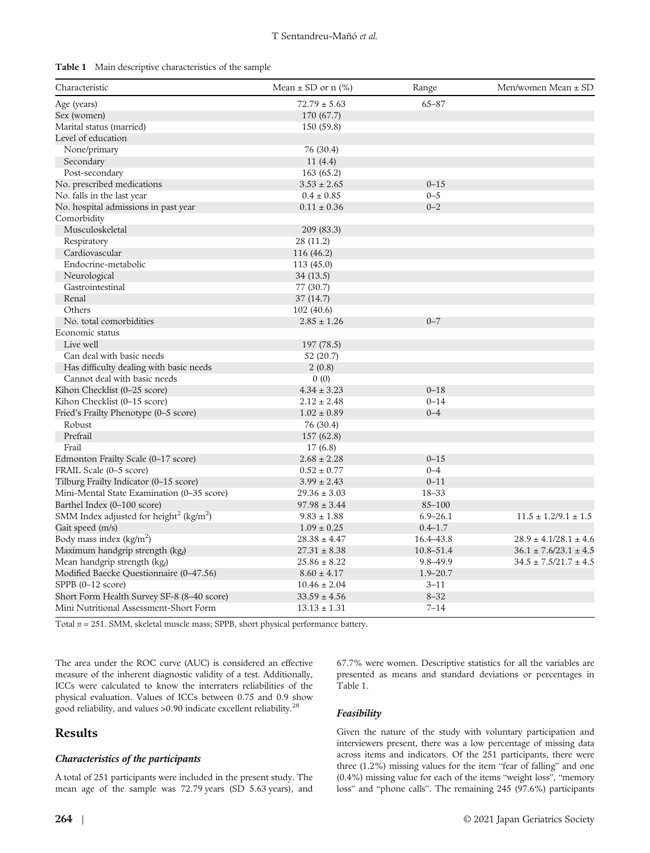|  | Table 1 Main descriptive characteristics of the sample |  |  |
|--|--------------------------------------------------------|--|--|
|--|--------------------------------------------------------|--|--|

| Characteristic                                                  | Mean $\pm$ SD or n (%) | Range        | Men/women Mean ± SD         |
|-----------------------------------------------------------------|------------------------|--------------|-----------------------------|
| Age (years)                                                     | $72.79 \pm 5.63$       | $65 - 87$    |                             |
| Sex (women)                                                     | 170 (67.7)             |              |                             |
| Marital status (married)                                        | 150 (59.8)             |              |                             |
| Level of education                                              |                        |              |                             |
| None/primary                                                    | 76 (30.4)              |              |                             |
| Secondary                                                       | 11 (4.4)               |              |                             |
| Post-secondary                                                  | 163 (65.2)             |              |                             |
| No. prescribed medications                                      | $3.53 \pm 2.65$        | $0 - 15$     |                             |
| No. falls in the last year                                      | $0.4 \pm 0.85$         | $0 - 5$      |                             |
| No. hospital admissions in past year                            | $0.11 \pm 0.36$        | $0 - 2$      |                             |
| Comorbidity                                                     |                        |              |                             |
| Musculoskeletal                                                 | 209 (83.3)             |              |                             |
| Respiratory                                                     | 28 (11.2)              |              |                             |
| Cardiovascular                                                  | 116 (46.2)             |              |                             |
| Endocrine-metabolic                                             | 113 (45.0)             |              |                             |
| Neurological                                                    | 34 (13.5)              |              |                             |
| Gastrointestinal                                                | 77 (30.7)              |              |                             |
| Renal                                                           | 37(14.7)               |              |                             |
| Others                                                          | 102 (40.6)             |              |                             |
| No. total comorbidities                                         | $2.85 \pm 1.26$        | $0 - 7$      |                             |
| Economic status                                                 |                        |              |                             |
| Live well                                                       |                        |              |                             |
|                                                                 | 197 (78.5)             |              |                             |
| Can deal with basic needs                                       | 52 (20.7)              |              |                             |
| Has difficulty dealing with basic needs                         | 2(0.8)                 |              |                             |
| Cannot deal with basic needs                                    | 0(0)                   |              |                             |
| Kihon Checklist (0-25 score)                                    | $4.34 \pm 3.23$        | $0 - 18$     |                             |
| Kihon Checklist (0-15 score)                                    | $2.12 \pm 2.48$        | $0 - 14$     |                             |
| Fried's Frailty Phenotype (0–5 score)                           | $1.02 \pm 0.89$        | $0 - 4$      |                             |
| Robust                                                          | 76 (30.4)              |              |                             |
| Prefrail                                                        | 157 (62.8)             |              |                             |
| Frail                                                           | 17(6.8)                |              |                             |
| Edmonton Frailty Scale (0-17 score)                             | $2.68 \pm 2.28$        | $0 - 15$     |                             |
| FRAIL Scale (0–5 score)                                         | $0.52 \pm 0.77$        | $0 - 4$      |                             |
| Tilburg Frailty Indicator (0-15 score)                          | $3.99 \pm 2.43$        | $0 - 11$     |                             |
| Mini-Mental State Examination (0–35 score)                      | $29.36 \pm 3.03$       | $18 - 33$    |                             |
| Barthel Index (0-100 score)                                     | $97.98 \pm 3.44$       | 85-100       |                             |
| SMM Index adjusted for height <sup>2</sup> (kg/m <sup>2</sup> ) | $9.83 \pm 1.88$        | $6.9 - 26.1$ | $11.5 \pm 1.2/9.1 \pm 1.5$  |
| Gait speed (m/s)                                                | $1.09 \pm 0.25$        | $0.4 - 1.7$  |                             |
| Body mass index $(kg/m2)$                                       | $28.38 \pm 4.47$       | 16.4–43.8    | $28.9 \pm 4.1/28.1 \pm 4.6$ |
| Maximum handgrip strength (kgf)                                 | $27.31 \pm 8.38$       | 10.8–51.4    | $36.1 \pm 7.6/23.1 \pm 4.5$ |
| Mean handgrip strength (kgf)                                    | $25.86 \pm 8.22$       | $9.8 - 49.9$ | $34.5 \pm 7.5/21.7 \pm 4.5$ |
| Modified Baecke Questionnaire (0-47.56)                         | $8.60 \pm 4.17$        | $1.9 - 20.7$ |                             |
| SPPB (0–12 score)                                               | $10.46 \pm 2.04$       | $3 - 11$     |                             |
| Short Form Health Survey SF-8 (8-40 score)                      | $33.59 \pm 4.56$       | $8 - 32$     |                             |
| Mini Nutritional Assessment-Short Form                          | $13.13 \pm 1.31$       | 7–14         |                             |

Total  $n = 251$ . SMM, skeletal muscle mass; SPPB, short physical performance battery.

The area under the ROC curve (AUC) is considered an effective measure of the inherent diagnostic validity of a test. Additionally, ICCs were calculated to know the interraters reliabilities of the physical evaluation. Values of ICCs between 0.75 and 0.9 show good reliability, and values >0.90 indicate excellent reliability.<sup>28</sup>

### Results

### Characteristics of the participants

A total of 251 participants were included in the present study. The mean age of the sample was 72.79 years (SD 5.63 years), and 67.7% were women. Descriptive statistics for all the variables are presented as means and standard deviations or percentages in Table 1.

### Feasibility

Given the nature of the study with voluntary participation and interviewers present, there was a low percentage of missing data across items and indicators. Of the 251 participants, there were three (1.2%) missing values for the item "fear of falling" and one (0.4%) missing value for each of the items "weight loss", "memory loss" and "phone calls". The remaining 245 (97.6%) participants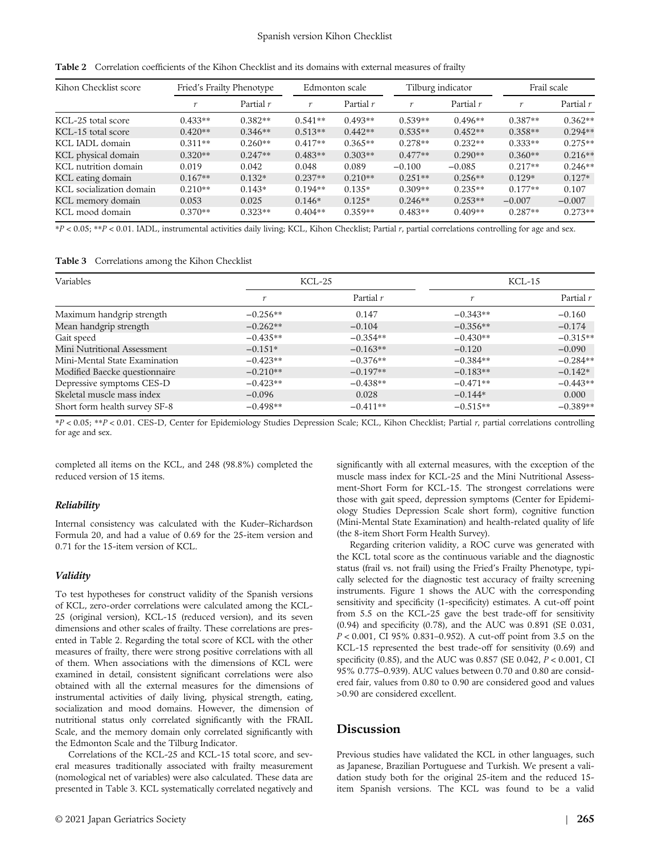#### Spanish version Kihon Checklist

| Kihon Checklist score    | Fried's Frailty Phenotype |             |           | Edmonton scale |           | Tilburg indicator |           | Frail scale |  |
|--------------------------|---------------------------|-------------|-----------|----------------|-----------|-------------------|-----------|-------------|--|
|                          |                           | Partial $r$ |           | Partial $r$    |           | Partial $r$       | $\sim$    | Partial $r$ |  |
| KCL-25 total score       | $0.433**$                 | $0.382**$   | $0.541**$ | $0.493**$      | $0.539**$ | $0.496**$         | $0.387**$ | $0.362**$   |  |
| KCL-15 total score       | $0.420**$                 | $0.346**$   | $0.513**$ | $0.442**$      | $0.535**$ | $0.452**$         | $0.358**$ | $0.294**$   |  |
| KCL IADL domain          | $0.311**$                 | $0.260**$   | $0.417**$ | $0.365**$      | $0.278**$ | $0.232**$         | $0.333**$ | $0.275**$   |  |
| KCL physical domain      | $0.320**$                 | $0.247**$   | $0.483**$ | $0.303**$      | $0.477**$ | $0.290**$         | $0.360**$ | $0.216**$   |  |
| KCL nutrition domain     | 0.019                     | 0.042       | 0.048     | 0.089          | $-0.100$  | $-0.085$          | $0.217**$ | $0.246**$   |  |
| KCL eating domain        | $0.167**$                 | $0.132*$    | $0.237**$ | $0.210**$      | $0.251**$ | $0.256**$         | $0.129*$  | $0.127*$    |  |
| KCL socialization domain | $0.210**$                 | $0.143*$    | $0.194**$ | $0.135*$       | $0.309**$ | $0.235**$         | $0.177**$ | 0.107       |  |
| KCL memory domain        | 0.053                     | 0.025       | $0.146*$  | $0.125*$       | $0.246**$ | $0.253**$         | $-0.007$  | $-0.007$    |  |
| KCL mood domain          | $0.370**$                 | $0.323**$   | $0.404**$ | $0.359**$      | $0.483**$ | $0.409**$         | $0.287**$ | $0.273**$   |  |

Table 2 Correlation coefficients of the Kihon Checklist and its domains with external measures of frailty

 $*P < 0.05$ ;  $**P < 0.01$ . IADL, instrumental activities daily living; KCL, Kihon Checklist; Partial r, partial correlations controlling for age and sex.

Table 3 Correlations among the Kihon Checklist

| Variables                     |            | KCL-25      | $KCL-15$   |            |
|-------------------------------|------------|-------------|------------|------------|
|                               |            | Partial $r$ |            | Partial r  |
| Maximum handgrip strength     | $-0.256**$ | 0.147       | $-0.343**$ | $-0.160$   |
| Mean handgrip strength        | $-0.262**$ | $-0.104$    | $-0.356**$ | $-0.174$   |
| Gait speed                    | $-0.435**$ | $-0.354**$  | $-0.430**$ | $-0.315**$ |
| Mini Nutritional Assessment   | $-0.151*$  | $-0.163**$  | $-0.120$   | $-0.090$   |
| Mini-Mental State Examination | $-0.423**$ | $-0.376**$  | $-0.384**$ | $-0.284**$ |
| Modified Baecke questionnaire | $-0.210**$ | $-0.197**$  | $-0.183**$ | $-0.142*$  |
| Depressive symptoms CES-D     | $-0.423**$ | $-0.438**$  | $-0.471**$ | $-0.443**$ |
| Skeletal muscle mass index    | $-0.096$   | 0.028       | $-0.144*$  | 0.000      |
| Short form health survey SF-8 | $-0.498**$ | $-0.411**$  | $-0.515**$ | $-0.389**$ |

\*P < 0.05; \*\*P < 0.01. CES-D, Center for Epidemiology Studies Depression Scale; KCL, Kihon Checklist; Partial r, partial correlations controlling for age and sex.

completed all items on the KCL, and 248 (98.8%) completed the reduced version of 15 items.

### Reliability

Internal consistency was calculated with the Kuder–Richardson Formula 20, and had a value of 0.69 for the 25-item version and 0.71 for the 15-item version of KCL.

### Validity

To test hypotheses for construct validity of the Spanish versions of KCL, zero-order correlations were calculated among the KCL-25 (original version), KCL-15 (reduced version), and its seven dimensions and other scales of frailty. These correlations are presented in Table 2. Regarding the total score of KCL with the other measures of frailty, there were strong positive correlations with all of them. When associations with the dimensions of KCL were examined in detail, consistent significant correlations were also obtained with all the external measures for the dimensions of instrumental activities of daily living, physical strength, eating, socialization and mood domains. However, the dimension of nutritional status only correlated significantly with the FRAIL Scale, and the memory domain only correlated significantly with the Edmonton Scale and the Tilburg Indicator.

Correlations of the KCL-25 and KCL-15 total score, and several measures traditionally associated with frailty measurement (nomological net of variables) were also calculated. These data are presented in Table 3. KCL systematically correlated negatively and

significantly with all external measures, with the exception of the muscle mass index for KCL-25 and the Mini Nutritional Assessment-Short Form for KCL-15. The strongest correlations were those with gait speed, depression symptoms (Center for Epidemiology Studies Depression Scale short form), cognitive function (Mini-Mental State Examination) and health-related quality of life (the 8-item Short Form Health Survey).

Regarding criterion validity, a ROC curve was generated with the KCL total score as the continuous variable and the diagnostic status (frail vs. not frail) using the Fried's Frailty Phenotype, typically selected for the diagnostic test accuracy of frailty screening instruments. Figure 1 shows the AUC with the corresponding sensitivity and specificity (1-specificity) estimates. A cut-off point from 5.5 on the KCL-25 gave the best trade-off for sensitivity (0.94) and specificity (0.78), and the AUC was 0.891 (SE 0.031, P < 0.001, CI 95% 0.831–0.952). A cut-off point from 3.5 on the KCL-15 represented the best trade-off for sensitivity (0.69) and specificity (0.85), and the AUC was 0.857 (SE 0.042, P < 0.001, CI 95% 0.775–0.939). AUC values between 0.70 and 0.80 are considered fair, values from 0.80 to 0.90 are considered good and values >0.90 are considered excellent.

### Discussion

Previous studies have validated the KCL in other languages, such as Japanese, Brazilian Portuguese and Turkish. We present a validation study both for the original 25-item and the reduced 15 item Spanish versions. The KCL was found to be a valid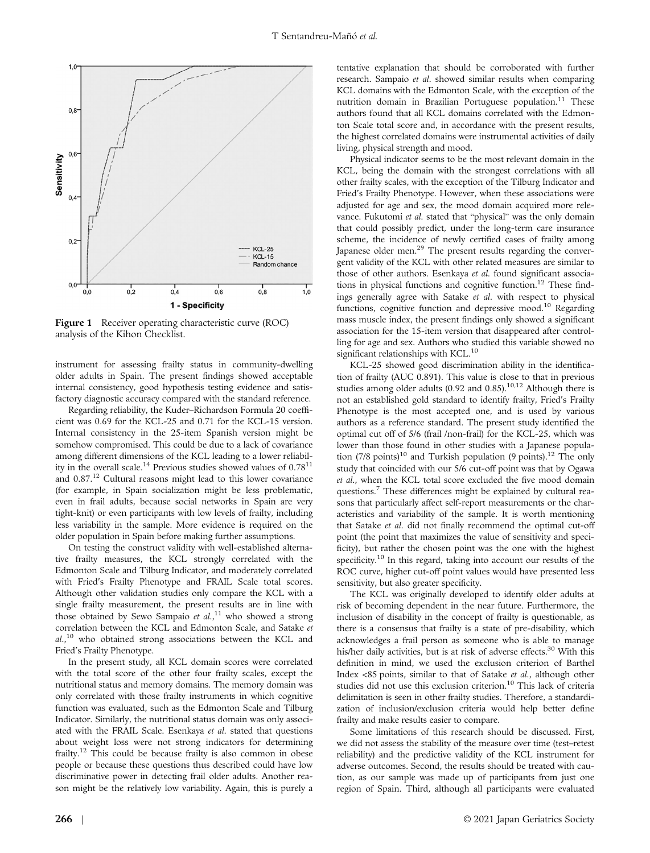

Figure 1 Receiver operating characteristic curve (ROC) analysis of the Kihon Checklist.

instrument for assessing frailty status in community-dwelling older adults in Spain. The present findings showed acceptable internal consistency, good hypothesis testing evidence and satisfactory diagnostic accuracy compared with the standard reference.

Regarding reliability, the Kuder–Richardson Formula 20 coefficient was 0.69 for the KCL-25 and 0.71 for the KCL-15 version. Internal consistency in the 25-item Spanish version might be somehow compromised. This could be due to a lack of covariance among different dimensions of the KCL leading to a lower reliability in the overall scale.<sup>14</sup> Previous studies showed values of  $0.78^{11}$ and 0.87.12 Cultural reasons might lead to this lower covariance (for example, in Spain socialization might be less problematic, even in frail adults, because social networks in Spain are very tight-knit) or even participants with low levels of frailty, including less variability in the sample. More evidence is required on the older population in Spain before making further assumptions.

On testing the construct validity with well-established alternative frailty measures, the KCL strongly correlated with the Edmonton Scale and Tilburg Indicator, and moderately correlated with Fried's Frailty Phenotype and FRAIL Scale total scores. Although other validation studies only compare the KCL with a single frailty measurement, the present results are in line with those obtained by Sewo Sampaio et  $al$ ,<sup>11</sup> who showed a strong correlation between the KCL and Edmonton Scale, and Satake et al.,10 who obtained strong associations between the KCL and Fried's Frailty Phenotype.

In the present study, all KCL domain scores were correlated with the total score of the other four frailty scales, except the nutritional status and memory domains. The memory domain was only correlated with those frailty instruments in which cognitive function was evaluated, such as the Edmonton Scale and Tilburg Indicator. Similarly, the nutritional status domain was only associated with the FRAIL Scale. Esenkaya et al. stated that questions about weight loss were not strong indicators for determining frailty.12 This could be because frailty is also common in obese people or because these questions thus described could have low discriminative power in detecting frail older adults. Another reason might be the relatively low variability. Again, this is purely a

tentative explanation that should be corroborated with further research. Sampaio et al. showed similar results when comparing KCL domains with the Edmonton Scale, with the exception of the nutrition domain in Brazilian Portuguese population.<sup>11</sup> These authors found that all KCL domains correlated with the Edmonton Scale total score and, in accordance with the present results, the highest correlated domains were instrumental activities of daily living, physical strength and mood.

Physical indicator seems to be the most relevant domain in the KCL, being the domain with the strongest correlations with all other frailty scales, with the exception of the Tilburg Indicator and Fried's Frailty Phenotype. However, when these associations were adjusted for age and sex, the mood domain acquired more relevance. Fukutomi et al. stated that "physical" was the only domain that could possibly predict, under the long-term care insurance scheme, the incidence of newly certified cases of frailty among Japanese older men.<sup>29</sup> The present results regarding the convergent validity of the KCL with other related measures are similar to those of other authors. Esenkaya et al. found significant associations in physical functions and cognitive function.<sup>12</sup> These findings generally agree with Satake et al. with respect to physical functions, cognitive function and depressive mood.<sup>10</sup> Regarding mass muscle index, the present findings only showed a significant association for the 15-item version that disappeared after controlling for age and sex. Authors who studied this variable showed no significant relationships with KCL.<sup>10</sup>

KCL-25 showed good discrimination ability in the identification of frailty (AUC 0.891). This value is close to that in previous studies among older adults (0.92 and 0.85).<sup>10,12</sup> Although there is not an established gold standard to identify frailty, Fried's Frailty Phenotype is the most accepted one, and is used by various authors as a reference standard. The present study identified the optimal cut off of 5/6 (frail /non-frail) for the KCL-25, which was lower than those found in other studies with a Japanese population  $(7/8 \text{ points})^{10}$  and Turkish population (9 points).<sup>12</sup> The only study that coincided with our 5/6 cut-off point was that by Ogawa et al., when the KCL total score excluded the five mood domain questions.<sup>7</sup> These differences might be explained by cultural reasons that particularly affect self-report measurements or the characteristics and variability of the sample. It is worth mentioning that Satake et al. did not finally recommend the optimal cut-off point (the point that maximizes the value of sensitivity and specificity), but rather the chosen point was the one with the highest specificity.<sup>10</sup> In this regard, taking into account our results of the ROC curve, higher cut-off point values would have presented less sensitivity, but also greater specificity.

The KCL was originally developed to identify older adults at risk of becoming dependent in the near future. Furthermore, the inclusion of disability in the concept of frailty is questionable, as there is a consensus that frailty is a state of pre-disability, which acknowledges a frail person as someone who is able to manage his/her daily activities, but is at risk of adverse effects.<sup>30</sup> With this definition in mind, we used the exclusion criterion of Barthel Index <85 points, similar to that of Satake et al., although other studies did not use this exclusion criterion.<sup>10</sup> This lack of criteria delimitation is seen in other frailty studies. Therefore, a standardization of inclusion/exclusion criteria would help better define frailty and make results easier to compare.

Some limitations of this research should be discussed. First, we did not assess the stability of the measure over time (test–retest reliability) and the predictive validity of the KCL instrument for adverse outcomes. Second, the results should be treated with caution, as our sample was made up of participants from just one region of Spain. Third, although all participants were evaluated